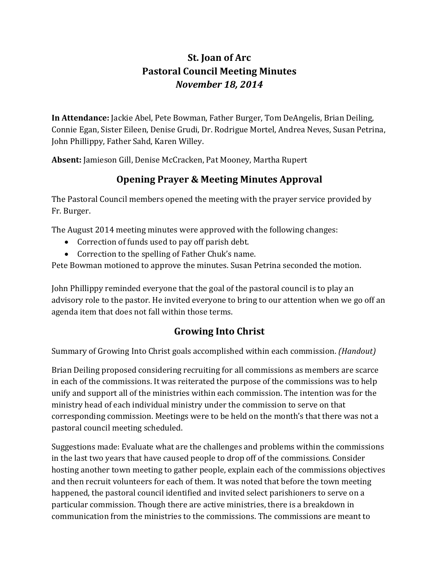## **St. Joan of Arc Pastoral Council Meeting Minutes** *November 18, 2014*

**In Attendance:** Jackie Abel, Pete Bowman, Father Burger, Tom DeAngelis, Brian Deiling, Connie Egan, Sister Eileen, Denise Grudi, Dr. Rodrigue Mortel, Andrea Neves, Susan Petrina, John Phillippy, Father Sahd, Karen Willey.

**Absent:** Jamieson Gill, Denise McCracken, Pat Mooney, Martha Rupert

## **Opening Prayer & Meeting Minutes Approval**

The Pastoral Council members opened the meeting with the prayer service provided by Fr. Burger.

The August 2014 meeting minutes were approved with the following changes:

- Correction of funds used to pay off parish debt.
- Correction to the spelling of Father Chuk's name.

Pete Bowman motioned to approve the minutes. Susan Petrina seconded the motion.

John Phillippy reminded everyone that the goal of the pastoral council is to play an advisory role to the pastor. He invited everyone to bring to our attention when we go off an agenda item that does not fall within those terms.

## **Growing Into Christ**

Summary of Growing Into Christ goals accomplished within each commission. *(Handout)*

Brian Deiling proposed considering recruiting for all commissions as members are scarce in each of the commissions. It was reiterated the purpose of the commissions was to help unify and support all of the ministries within each commission. The intention was for the ministry head of each individual ministry under the commission to serve on that corresponding commission. Meetings were to be held on the month's that there was not a pastoral council meeting scheduled.

Suggestions made: Evaluate what are the challenges and problems within the commissions in the last two years that have caused people to drop off of the commissions. Consider hosting another town meeting to gather people, explain each of the commissions objectives and then recruit volunteers for each of them. It was noted that before the town meeting happened, the pastoral council identified and invited select parishioners to serve on a particular commission. Though there are active ministries, there is a breakdown in communication from the ministries to the commissions. The commissions are meant to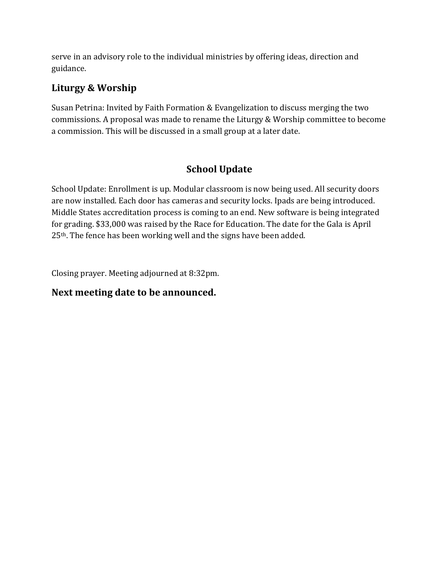serve in an advisory role to the individual ministries by offering ideas, direction and guidance.

#### **Liturgy & Worship**

Susan Petrina: Invited by Faith Formation & Evangelization to discuss merging the two commissions. A proposal was made to rename the Liturgy & Worship committee to become a commission. This will be discussed in a small group at a later date.

### **School Update**

School Update: Enrollment is up. Modular classroom is now being used. All security doors are now installed. Each door has cameras and security locks. Ipads are being introduced. Middle States accreditation process is coming to an end. New software is being integrated for grading. \$33,000 was raised by the Race for Education. The date for the Gala is April 25<sup>th</sup>. The fence has been working well and the signs have been added.

Closing prayer. Meeting adjourned at 8:32pm.

#### **Next meeting date to be announced.**